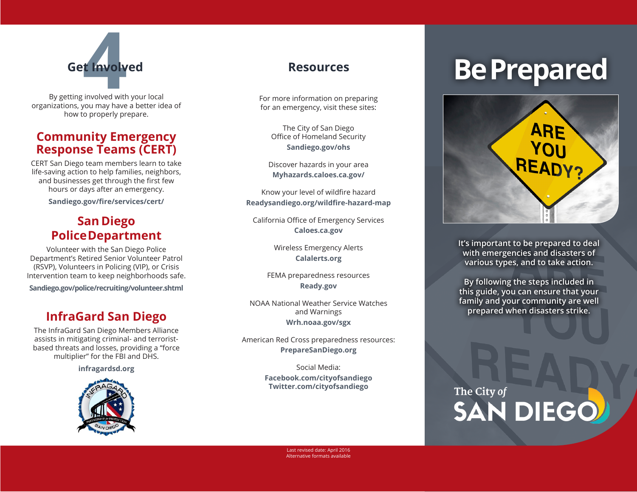

By getting involved with your local organizations, you may have a better idea of how to properly prepare.

### **Community Emergency Response Teams (CERT)**

CERT San Diego team members learn to take life-saving action to help families, neighbors, and businesses get through the first few hours or days after an emergency.

**Sandiego.gov/fire/services/cert/** 

### **San Diego Police Department**

Volunteer with the San Diego Police Department's Retired Senior Volunteer Patrol (RSVP), Volunteers in Policing (VIP), or Crisis Intervention team to keep neighborhoods safe.

**Sandiego.gov/police/recruiting/volunteer.shtml**

### **InfraGard San Diego**

The InfraGard San Diego Members Alliance assists in mitigating criminal- and terroristbased threats and losses, providing a "force multiplier" for the FBI and DHS.

**infragardsd.org**



For more information on preparing for an emergency, visit these sites:

The City of San Diego Office of Homeland Security **Sandiego.gov/ohs**

Discover hazards in your area **Myhazards.caloes.ca.gov/**

Know your level of wildfire hazard **Readysandiego.org/wildfire-hazard-map**

California Office of Emergency Services **Caloes.ca.gov**

> Wireless Emergency Alerts **Calalerts.org**

FEMA preparedness resources **Ready.gov**

NOAA National Weather Service Watches and Warnings **Wrh.noaa.gov/sgx**

American Red Cross preparedness resources: **PrepareSanDiego.org**

> Social Media: **Facebook.com/cityofsandiego Twitter.com/cityofsandiego**

# Get Involved<br>**Absoluted** Resources **Be Prepared**



**It's important to be prepared to deal with emergencies and disasters of various types, and to take action.**

**By following the steps included in this guide, you can ensure that your family and your community are well prepared when disasters strike.**

## The City of **SAN DIEGO**

Last revised date: April 2016 Alternative formats available